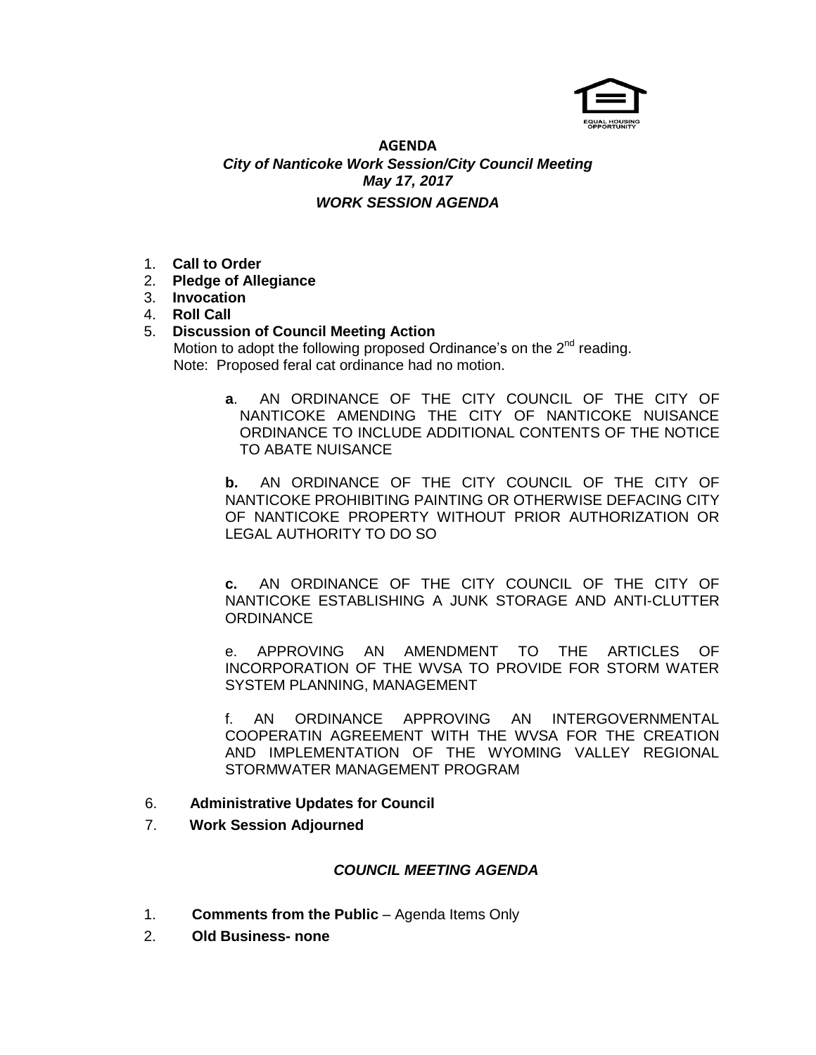

## **AGENDA** *City of Nanticoke Work Session/City Council Meeting May 17, 2017 WORK SESSION AGENDA*

- 1. **Call to Order**
- 2. **Pledge of Allegiance**
- 3. **Invocation**
- 4. **Roll Call**

# 5. **Discussion of Council Meeting Action**

Motion to adopt the following proposed Ordinance's on the  $2^{nd}$  reading. Note: Proposed feral cat ordinance had no motion.

> **a**.AN ORDINANCE OF THE CITY COUNCIL OF THE CITY OF NANTICOKE AMENDING THE CITY OF NANTICOKE NUISANCE ORDINANCE TO INCLUDE ADDITIONAL CONTENTS OF THE NOTICE TO ABATE NUISANCE

> **b.** AN ORDINANCE OF THE CITY COUNCIL OF THE CITY OF NANTICOKE PROHIBITING PAINTING OR OTHERWISE DEFACING CITY OF NANTICOKE PROPERTY WITHOUT PRIOR AUTHORIZATION OR LEGAL AUTHORITY TO DO SO

> **c.** AN ORDINANCE OF THE CITY COUNCIL OF THE CITY OF NANTICOKE ESTABLISHING A JUNK STORAGE AND ANTI-CLUTTER **ORDINANCE**

> e. APPROVING AN AMENDMENT TO THE ARTICLES OF INCORPORATION OF THE WVSA TO PROVIDE FOR STORM WATER SYSTEM PLANNING, MANAGEMENT

> f. AN ORDINANCE APPROVING AN INTERGOVERNMENTAL COOPERATIN AGREEMENT WITH THE WVSA FOR THE CREATION AND IMPLEMENTATION OF THE WYOMING VALLEY REGIONAL STORMWATER MANAGEMENT PROGRAM

- 6. **Administrative Updates for Council**
- 7. **Work Session Adjourned**

#### *COUNCIL MEETING AGENDA*

- 1. **Comments from the Public** Agenda Items Only
- 2. **Old Business- none**